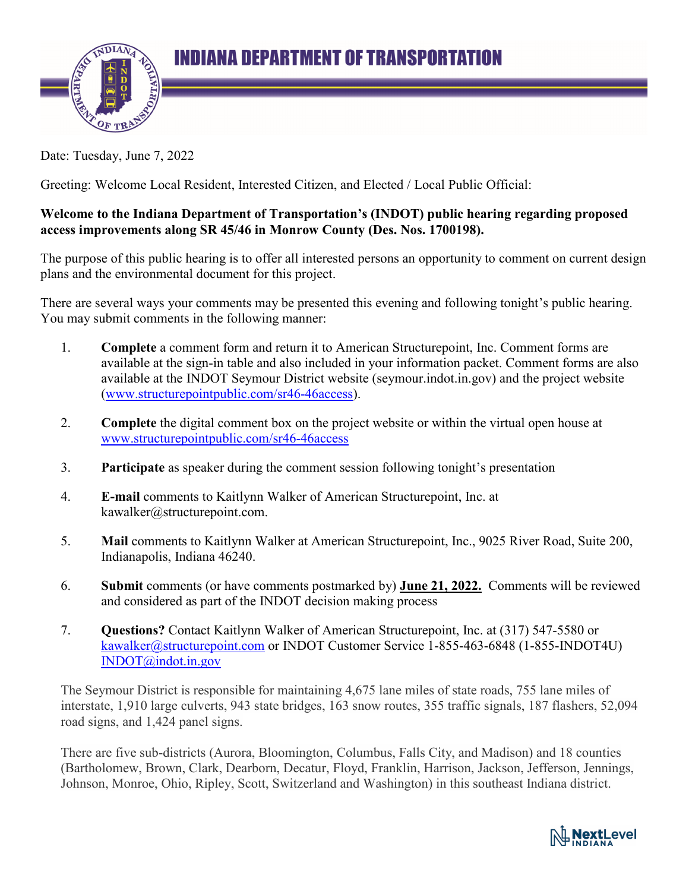

Date: Tuesday, June 7, 2022

Greeting: Welcome Local Resident, Interested Citizen, and Elected / Local Public Official:

## **Welcome to the Indiana Department of Transportation's (INDOT) public hearing regarding proposed access improvements along SR 45/46 in Monrow County (Des. Nos. 1700198).**

The purpose of this public hearing is to offer all interested persons an opportunity to comment on current design plans and the environmental document for this project.

There are several ways your comments may be presented this evening and following tonight's public hearing. You may submit comments in the following manner:

- 1. **Complete** a comment form and return it to American Structurepoint, Inc. Comment forms are available at the sign-in table and also included in your information packet. Comment forms are also available at the INDOT Seymour District website (seymour.indot.in.gov) and the project website (www.structurepointpublic.com/sr46-46access).
- 2. **Complete** the digital comment box on the project website or within the virtual open house at www.structurepointpublic.com/sr46-46access
- 3. **Participate** as speaker during the comment session following tonight's presentation
- 4. **E-mail** comments to Kaitlynn Walker of American Structurepoint, Inc. at kawalker@structurepoint.com.
- 5. **Mail** comments to Kaitlynn Walker at American Structurepoint, Inc., 9025 River Road, Suite 200, Indianapolis, Indiana 46240.
- 6. **Submit** comments (or have comments postmarked by) **June 21, 2022.** Comments will be reviewed and considered as part of the INDOT decision making process
- 7. **Questions?** Contact Kaitlynn Walker of American Structurepoint, Inc. at (317) 547-5580 or kawalker@structurepoint.com or INDOT Customer Service 1-855-463-6848 (1-855-INDOT4U) INDOT@indot.in.gov

The Seymour District is responsible for maintaining 4,675 lane miles of state roads, 755 lane miles of interstate, 1,910 large culverts, 943 state bridges, 163 snow routes, 355 traffic signals, 187 flashers, 52,094 road signs, and 1,424 panel signs.

There are five sub-districts (Aurora, Bloomington, Columbus, Falls City, and Madison) and 18 counties (Bartholomew, Brown, Clark, Dearborn, Decatur, Floyd, Franklin, Harrison, Jackson, Jefferson, Jennings, Johnson, Monroe, Ohio, Ripley, Scott, Switzerland and Washington) in this southeast Indiana district.

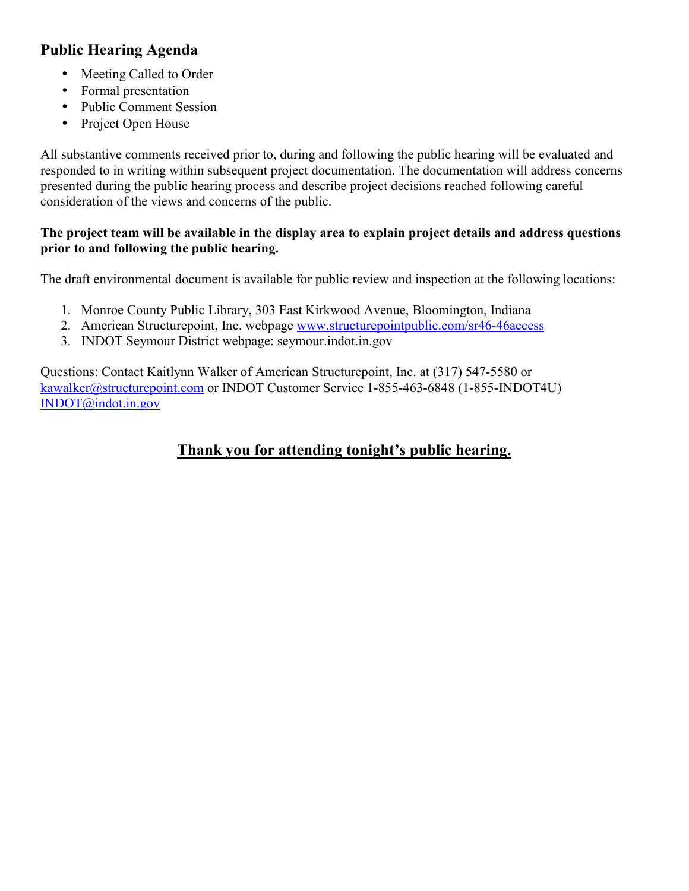# **Public Hearing Agenda**

- Meeting Called to Order
- Formal presentation
- Public Comment Session
- Project Open House

All substantive comments received prior to, during and following the public hearing will be evaluated and responded to in writing within subsequent project documentation. The documentation will address concerns presented during the public hearing process and describe project decisions reached following careful consideration of the views and concerns of the public.

## **The project team will be available in the display area to explain project details and address questions prior to and following the public hearing.**

The draft environmental document is available for public review and inspection at the following locations:

- 1. Monroe County Public Library, 303 East Kirkwood Avenue, Bloomington, Indiana
- 2. American Structurepoint, Inc. webpage www.structurepointpublic.com/sr46-46access
- 3. INDOT Seymour District webpage: seymour.indot.in.gov

Questions: Contact Kaitlynn Walker of American Structurepoint, Inc. at (317) 547-5580 or kawalker@structurepoint.com or INDOT Customer Service 1-855-463-6848 (1-855-INDOT4U) INDOT@indot.in.gov

# **Thank you for attending tonight's public hearing.**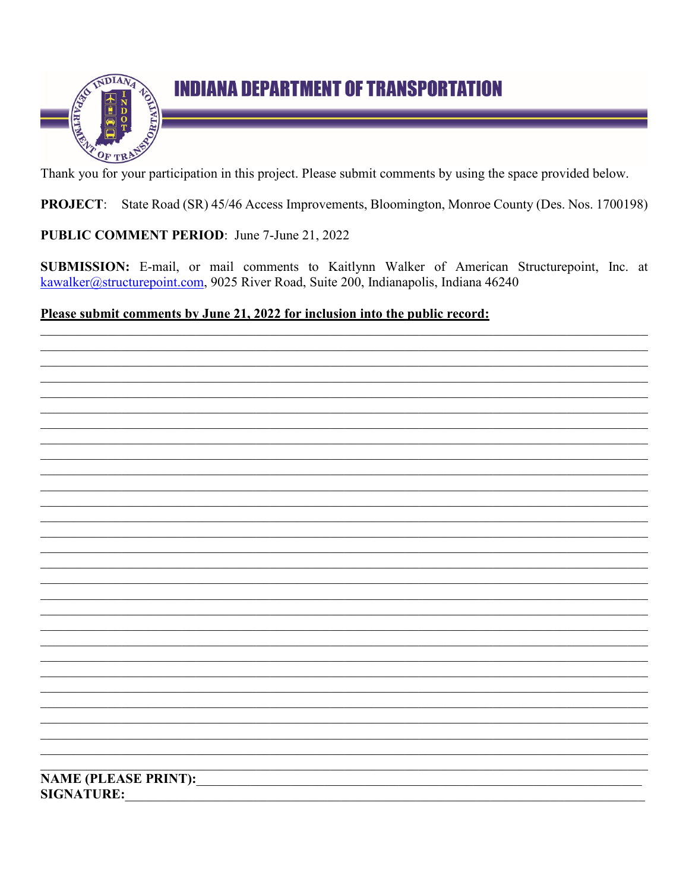

# **INDIANA DEPARTMENT OF TRANSPORTATION**

Thank you for your participation in this project. Please submit comments by using the space provided below.

**PROJECT:** State Road (SR) 45/46 Access Improvements, Bloomington, Monroe County (Des. Nos. 1700198)

PUBLIC COMMENT PERIOD: June 7-June 21, 2022

SUBMISSION: E-mail, or mail comments to Kaitlynn Walker of American Structurepoint, Inc. at kawalker@structurepoint.com, 9025 River Road, Suite 200, Indianapolis, Indiana 46240

## Please submit comments by June 21, 2022 for inclusion into the public record:

**NAME (PLEASE PRINT): SIGNATURE:**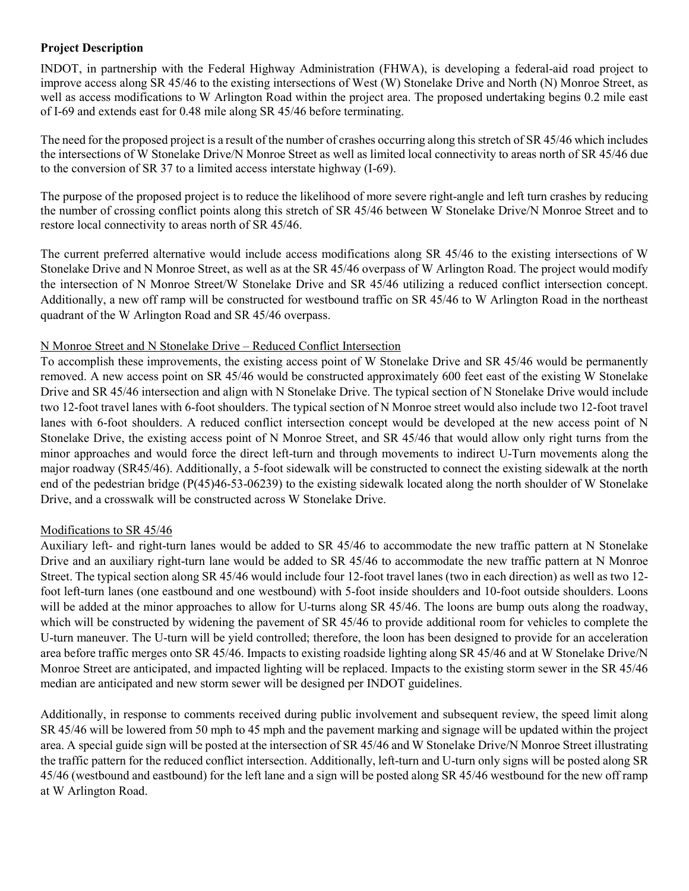## **Project Description**

INDOT, in partnership with the Federal Highway Administration (FHWA), is developing a federal-aid road project to improve access along SR 45/46 to the existing intersections of West (W) Stonelake Drive and North (N) Monroe Street, as well as access modifications to W Arlington Road within the project area. The proposed undertaking begins 0.2 mile east of I-69 and extends east for 0.48 mile along SR 45/46 before terminating.

The need for the proposed project is a result of the number of crashes occurring along this stretch of SR 45/46 which includes the intersections of W Stonelake Drive/N Monroe Street as well as limited local connectivity to areas north of SR 45/46 due to the conversion of SR 37 to a limited access interstate highway (I-69).

The purpose of the proposed project is to reduce the likelihood of more severe right-angle and left turn crashes by reducing the number of crossing conflict points along this stretch of SR 45/46 between W Stonelake Drive/N Monroe Street and to restore local connectivity to areas north of SR 45/46.

The current preferred alternative would include access modifications along SR 45/46 to the existing intersections of W Stonelake Drive and N Monroe Street, as well as at the SR 45/46 overpass of W Arlington Road. The project would modify the intersection of N Monroe Street/W Stonelake Drive and SR 45/46 utilizing a reduced conflict intersection concept. Additionally, a new off ramp will be constructed for westbound traffic on SR 45/46 to W Arlington Road in the northeast quadrant of the W Arlington Road and SR 45/46 overpass.

## N Monroe Street and N Stonelake Drive – Reduced Conflict Intersection

To accomplish these improvements, the existing access point of W Stonelake Drive and SR 45/46 would be permanently removed. A new access point on SR 45/46 would be constructed approximately 600 feet east of the existing W Stonelake Drive and SR 45/46 intersection and align with N Stonelake Drive. The typical section of N Stonelake Drive would include two 12-foot travel lanes with 6-foot shoulders. The typical section of N Monroe street would also include two 12-foot travel lanes with 6-foot shoulders. A reduced conflict intersection concept would be developed at the new access point of N Stonelake Drive, the existing access point of N Monroe Street, and SR 45/46 that would allow only right turns from the minor approaches and would force the direct left-turn and through movements to indirect U-Turn movements along the major roadway (SR45/46). Additionally, a 5-foot sidewalk will be constructed to connect the existing sidewalk at the north end of the pedestrian bridge (P(45)46-53-06239) to the existing sidewalk located along the north shoulder of W Stonelake Drive, and a crosswalk will be constructed across W Stonelake Drive.

## Modifications to SR 45/46

Auxiliary left- and right-turn lanes would be added to SR 45/46 to accommodate the new traffic pattern at N Stonelake Drive and an auxiliary right-turn lane would be added to SR 45/46 to accommodate the new traffic pattern at N Monroe Street. The typical section along SR 45/46 would include four 12-foot travel lanes (two in each direction) as well as two 12 foot left-turn lanes (one eastbound and one westbound) with 5-foot inside shoulders and 10-foot outside shoulders. Loons will be added at the minor approaches to allow for U-turns along SR 45/46. The loons are bump outs along the roadway, which will be constructed by widening the pavement of SR 45/46 to provide additional room for vehicles to complete the U-turn maneuver. The U-turn will be yield controlled; therefore, the loon has been designed to provide for an acceleration area before traffic merges onto SR 45/46. Impacts to existing roadside lighting along SR 45/46 and at W Stonelake Drive/N Monroe Street are anticipated, and impacted lighting will be replaced. Impacts to the existing storm sewer in the SR 45/46 median are anticipated and new storm sewer will be designed per INDOT guidelines.

Additionally, in response to comments received during public involvement and subsequent review, the speed limit along SR 45/46 will be lowered from 50 mph to 45 mph and the pavement marking and signage will be updated within the project area. A special guide sign will be posted at the intersection of SR 45/46 and W Stonelake Drive/N Monroe Street illustrating the traffic pattern for the reduced conflict intersection. Additionally, left-turn and U-turn only signs will be posted along SR 45/46 (westbound and eastbound) for the left lane and a sign will be posted along SR 45/46 westbound for the new off ramp at W Arlington Road.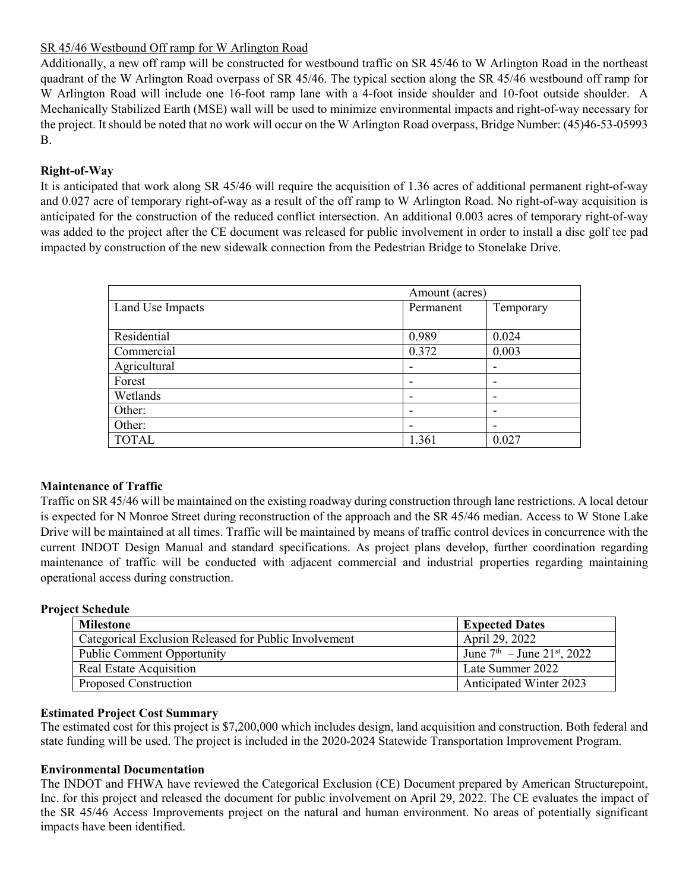## SR 45/46 Westbound Off ramp for W Arlington Road

Additionally, a new off ramp will be constructed for westbound traffic on SR 45/46 to W Arlington Road in the northeast quadrant of the W Arlington Road overpass of SR 45/46. The typical section along the SR 45/46 westbound off ramp for W Arlington Road will include one 16-foot ramp lane with a 4-foot inside shoulder and 10-foot outside shoulder. A Mechanically Stabilized Earth (MSE) wall will be used to minimize environmental impacts and right-of-way necessary for the project. It should be noted that no work will occur on the W Arlington Road overpass, Bridge Number: (45)46-53-05993 B.

## **Right-of-Way**

It is anticipated that work along SR 45/46 will require the acquisition of 1.36 acres of additional permanent right-of-way and 0.027 acre of temporary right-of-way as a result of the off ramp to W Arlington Road. No right-of-way acquisition is anticipated for the construction of the reduced conflict intersection. An additional 0.003 acres of temporary right-of-way was added to the project after the CE document was released for public involvement in order to install a disc golf tee pad impacted by construction of the new sidewalk connection from the Pedestrian Bridge to Stonelake Drive.

|                  | Amount (acres) |           |  |
|------------------|----------------|-----------|--|
| Land Use Impacts | Permanent      | Temporary |  |
|                  |                |           |  |
| Residential      | 0.989          | 0.024     |  |
| Commercial       | 0.372          | 0.003     |  |
| Agricultural     |                | -         |  |
| Forest           | -              |           |  |
| Wetlands         |                |           |  |
| Other:           |                | -         |  |
| Other:           | -              | -         |  |
| <b>TOTAL</b>     | 1.361          | 0.027     |  |

## **Maintenance of Traffic**

Traffic on SR 45/46 will be maintained on the existing roadway during construction through lane restrictions. A local detour is expected for N Monroe Street during reconstruction of the approach and the SR 45/46 median. Access to W Stone Lake Drive will be maintained at all times. Traffic will be maintained by means of traffic control devices in concurrence with the current INDOT Design Manual and standard specifications. As project plans develop, further coordination regarding maintenance of traffic will be conducted with adjacent commercial and industrial properties regarding maintaining operational access during construction.

## **Project Schedule**

| <b>Milestone</b>                                      | <b>Expected Dates</b>                               |
|-------------------------------------------------------|-----------------------------------------------------|
| Categorical Exclusion Released for Public Involvement | April 29, 2022                                      |
| <b>Public Comment Opportunity</b>                     | June $7^{\text{th}}$ – June $21^{\text{st}}$ , 2022 |
| Real Estate Acquisition                               | Late Summer 2022                                    |
| Proposed Construction                                 | <b>Anticipated Winter 2023</b>                      |

## **Estimated Project Cost Summary**

The estimated cost for this project is \$7,200,000 which includes design, land acquisition and construction. Both federal and state funding will be used. The project is included in the 2020-2024 Statewide Transportation Improvement Program.

## **Environmental Documentation**

The INDOT and FHWA have reviewed the Categorical Exclusion (CE) Document prepared by American Structurepoint, Inc. for this project and released the document for public involvement on April 29, 2022. The CE evaluates the impact of the SR 45/46 Access Improvements project on the natural and human environment. No areas of potentially significant impacts have been identified.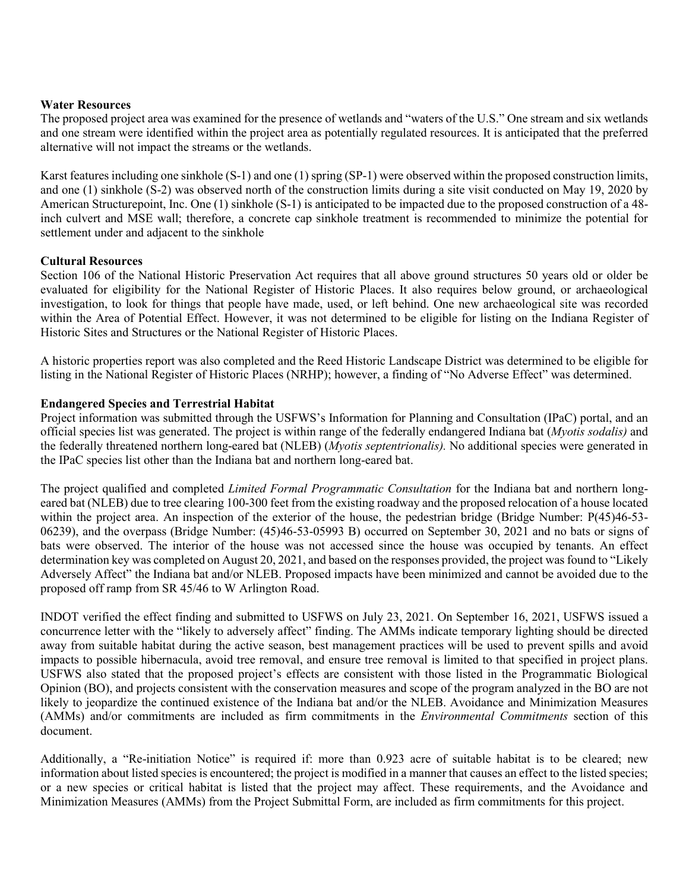#### **Water Resources**

The proposed project area was examined for the presence of wetlands and "waters of the U.S." One stream and six wetlands and one stream were identified within the project area as potentially regulated resources. It is anticipated that the preferred alternative will not impact the streams or the wetlands.

Karst features including one sinkhole (S-1) and one (1) spring (SP-1) were observed within the proposed construction limits, and one (1) sinkhole (S-2) was observed north of the construction limits during a site visit conducted on May 19, 2020 by American Structurepoint, Inc. One (1) sinkhole (S-1) is anticipated to be impacted due to the proposed construction of a 48 inch culvert and MSE wall; therefore, a concrete cap sinkhole treatment is recommended to minimize the potential for settlement under and adjacent to the sinkhole

#### **Cultural Resources**

Section 106 of the National Historic Preservation Act requires that all above ground structures 50 years old or older be evaluated for eligibility for the National Register of Historic Places. It also requires below ground, or archaeological investigation, to look for things that people have made, used, or left behind. One new archaeological site was recorded within the Area of Potential Effect. However, it was not determined to be eligible for listing on the Indiana Register of Historic Sites and Structures or the National Register of Historic Places.

A historic properties report was also completed and the Reed Historic Landscape District was determined to be eligible for listing in the National Register of Historic Places (NRHP); however, a finding of "No Adverse Effect" was determined.

#### **Endangered Species and Terrestrial Habitat**

Project information was submitted through the USFWS's Information for Planning and Consultation (IPaC) portal, and an official species list was generated. The project is within range of the federally endangered Indiana bat (*Myotis sodalis)* and the federally threatened northern long-eared bat (NLEB) (*Myotis septentrionalis).* No additional species were generated in the IPaC species list other than the Indiana bat and northern long-eared bat.

The project qualified and completed *Limited Formal Programmatic Consultation* for the Indiana bat and northern longeared bat (NLEB) due to tree clearing 100-300 feet from the existing roadway and the proposed relocation of a house located within the project area. An inspection of the exterior of the house, the pedestrian bridge (Bridge Number: P(45)46-53-06239), and the overpass (Bridge Number: (45)46-53-05993 B) occurred on September 30, 2021 and no bats or signs of bats were observed. The interior of the house was not accessed since the house was occupied by tenants. An effect determination key was completed on August 20, 2021, and based on the responses provided, the project was found to "Likely Adversely Affect" the Indiana bat and/or NLEB. Proposed impacts have been minimized and cannot be avoided due to the proposed off ramp from SR 45/46 to W Arlington Road.

INDOT verified the effect finding and submitted to USFWS on July 23, 2021. On September 16, 2021, USFWS issued a concurrence letter with the "likely to adversely affect" finding. The AMMs indicate temporary lighting should be directed away from suitable habitat during the active season, best management practices will be used to prevent spills and avoid impacts to possible hibernacula, avoid tree removal, and ensure tree removal is limited to that specified in project plans. USFWS also stated that the proposed project's effects are consistent with those listed in the Programmatic Biological Opinion (BO), and projects consistent with the conservation measures and scope of the program analyzed in the BO are not likely to jeopardize the continued existence of the Indiana bat and/or the NLEB. Avoidance and Minimization Measures (AMMs) and/or commitments are included as firm commitments in the *Environmental Commitments* section of this document.

Additionally, a "Re-initiation Notice" is required if: more than 0.923 acre of suitable habitat is to be cleared; new information about listed species is encountered; the project is modified in a manner that causes an effect to the listed species; or a new species or critical habitat is listed that the project may affect. These requirements, and the Avoidance and Minimization Measures (AMMs) from the Project Submittal Form, are included as firm commitments for this project.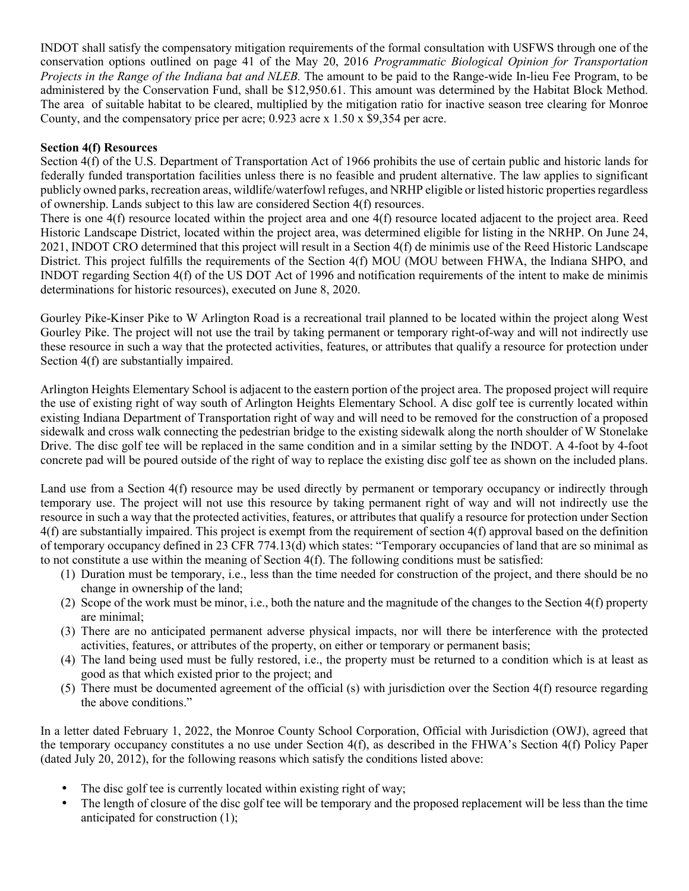INDOT shall satisfy the compensatory mitigation requirements of the formal consultation with USFWS through one of the conservation options outlined on page 41 of the May 20, 2016 *Programmatic Biological Opinion for Transportation Projects in the Range of the Indiana bat and NLEB.* The amount to be paid to the Range-wide In-lieu Fee Program, to be administered by the Conservation Fund, shall be \$12,950.61. This amount was determined by the Habitat Block Method. The area of suitable habitat to be cleared, multiplied by the mitigation ratio for inactive season tree clearing for Monroe County, and the compensatory price per acre;  $0.923$  acre x  $1.50 \times $9.354$  per acre.

### **Section 4(f) Resources**

Section 4(f) of the U.S. Department of Transportation Act of 1966 prohibits the use of certain public and historic lands for federally funded transportation facilities unless there is no feasible and prudent alternative. The law applies to significant publicly owned parks, recreation areas, wildlife/waterfowl refuges, and NRHP eligible or listed historic properties regardless of ownership. Lands subject to this law are considered Section 4(f) resources.

There is one 4(f) resource located within the project area and one 4(f) resource located adjacent to the project area. Reed Historic Landscape District, located within the project area, was determined eligible for listing in the NRHP. On June 24, 2021, INDOT CRO determined that this project will result in a Section 4(f) de minimis use of the Reed Historic Landscape District. This project fulfills the requirements of the Section 4(f) MOU (MOU between FHWA, the Indiana SHPO, and INDOT regarding Section 4(f) of the US DOT Act of 1996 and notification requirements of the intent to make de minimis determinations for historic resources), executed on June 8, 2020.

Gourley Pike-Kinser Pike to W Arlington Road is a recreational trail planned to be located within the project along West Gourley Pike. The project will not use the trail by taking permanent or temporary right-of-way and will not indirectly use these resource in such a way that the protected activities, features, or attributes that qualify a resource for protection under Section 4(f) are substantially impaired.

Arlington Heights Elementary School is adjacent to the eastern portion of the project area. The proposed project will require the use of existing right of way south of Arlington Heights Elementary School. A disc golf tee is currently located within existing Indiana Department of Transportation right of way and will need to be removed for the construction of a proposed sidewalk and cross walk connecting the pedestrian bridge to the existing sidewalk along the north shoulder of W Stonelake Drive. The disc golf tee will be replaced in the same condition and in a similar setting by the INDOT. A 4-foot by 4-foot concrete pad will be poured outside of the right of way to replace the existing disc golf tee as shown on the included plans.

Land use from a Section 4(f) resource may be used directly by permanent or temporary occupancy or indirectly through temporary use. The project will not use this resource by taking permanent right of way and will not indirectly use the resource in such a way that the protected activities, features, or attributes that qualify a resource for protection under Section 4(f) are substantially impaired. This project is exempt from the requirement of section 4(f) approval based on the definition of temporary occupancy defined in 23 CFR 774.13(d) which states: "Temporary occupancies of land that are so minimal as to not constitute a use within the meaning of Section 4(f). The following conditions must be satisfied:

- (1) Duration must be temporary, i.e., less than the time needed for construction of the project, and there should be no change in ownership of the land;
- (2) Scope of the work must be minor, i.e., both the nature and the magnitude of the changes to the Section 4(f) property are minimal;
- (3) There are no anticipated permanent adverse physical impacts, nor will there be interference with the protected activities, features, or attributes of the property, on either or temporary or permanent basis;
- (4) The land being used must be fully restored, i.e., the property must be returned to a condition which is at least as good as that which existed prior to the project; and
- (5) There must be documented agreement of the official (s) with jurisdiction over the Section  $4(f)$  resource regarding the above conditions."

In a letter dated February 1, 2022, the Monroe County School Corporation, Official with Jurisdiction (OWJ), agreed that the temporary occupancy constitutes a no use under Section 4(f), as described in the FHWA's Section 4(f) Policy Paper (dated July 20, 2012), for the following reasons which satisfy the conditions listed above:

- The disc golf tee is currently located within existing right of way;
- The length of closure of the disc golf tee will be temporary and the proposed replacement will be less than the time anticipated for construction (1);